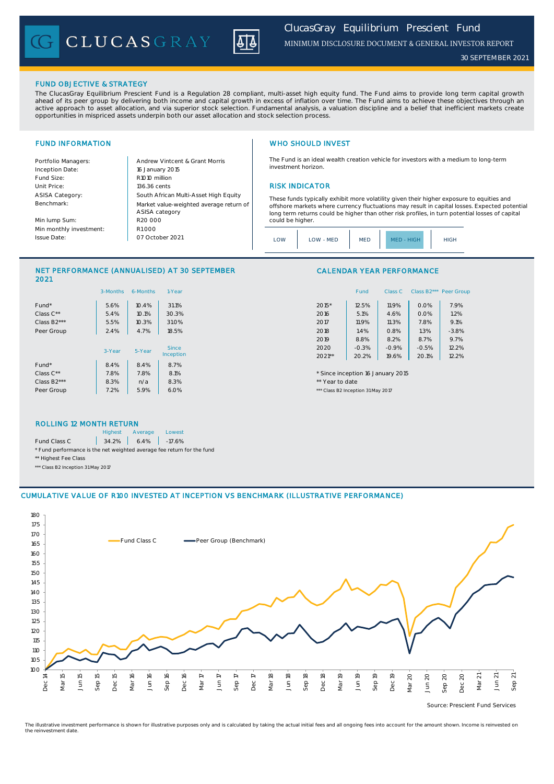CLUCASGRAY



*30 SEPTEMBER 2021*

### FUND OBJECTIVE & STRATEGY

The ClucasGray Equilibrium Prescient Fund is a Regulation 28 compliant, multi-asset high equity fund. The Fund aims to provide long term capital growth ahead of its peer group by delivering both income and capital growth in excess of inflation over time. The Fund aims to achieve these objectives through an<br>active approach to asset allocation, and via superior stock select opportunities in mispriced assets underpin both our asset allocation and stock selection process.

Inception Date: Fund Size: R1010 million ASISA Category: Benchmark:

Min lump Sum: Min monthly investment: Issue Date:

Portfolio Managers: <br>Andrew Vintcent & Grant Morris Unit Price: 136.36 cents RISK INDICATOR South African Multi-Asset High Equity 16 January 2015 R20 000 Market value-weighted average return of ASISA category 07 October 2021  $R1000$ 

## FUND INFORMATION **WHO SHOULD INVEST**

The Fund is an ideal wealth creation vehicle for investors with a medium to long-term investment horizon.

These funds typically exhibit more volatility given their higher exposure to equities and offshore markets where currency fluctuations may result in capital losses. Expected potential long term returns could be higher than other risk profiles, in turn potential losses of capital could be higher

| <b>HIGH</b><br>$MFD -$ | .OW | LOW - MED | <b>MED</b> |  | <b>HIGH</b> |
|------------------------|-----|-----------|------------|--|-------------|
|------------------------|-----|-----------|------------|--|-------------|

### NET PERFORMANCE (ANNUALISED) AT 30 SEPTEMBER 2021

|                          | 3-Months | 6-Months | 1-Year       | Class B2*** Peer Gro<br>Fund<br>Class C        |
|--------------------------|----------|----------|--------------|------------------------------------------------|
| Fund*                    | 5.6%     | 10.4%    | 31.1%        | 7.9%<br>$2015*$<br>12.5%<br>11.9%<br>0.0%      |
| Class $C^{\star\star}$   | 5.4%     | 10.1%    | 30.3%        | 1.2%<br>5.1%<br>0.0%<br>2016<br>4.6%           |
| Class B <sub>2</sub> *** | 5.5%     | 10.3%    | 31.0%        | 9.1%<br>11.9%<br>7.8%<br>2017<br>11.3%         |
| Peer Group               | 2.4%     | 4.7%     | 18.5%        | $-3.8%$<br>2018<br>1.4%<br>1.3%<br>0.8%        |
|                          |          |          |              | 8.8%<br>8.7%<br>9.7%<br>2019<br>8.2%           |
|                          | 3-Year   | 5-Year   | <b>Since</b> | 12.2%<br>$-0.3%$<br>$-0.5%$<br>2020<br>$-0.9%$ |
|                          |          |          | Inception    | 20.1%<br>12.2%<br>$2021**$<br>20.2%<br>19.6%   |
| Fund*                    | 8.4%     | 8.4%     | 8.7%         |                                                |
| Class $C^{\star\star}$   | 7.8%     | 7.8%     | 8.1%         | * Since inception 16 January 2015              |
| Class B <sub>2</sub> *** | 8.3%     | n/a      | 8.3%         | ** Year to date                                |
| Peer Group               | 7.2%     | 5.9%     | 6.0%         | *** Class B2 Inception 31 May 2017             |

# CALENDAR YEAR PERFORMANCE

| 1-Year  |          | Fund    | Class C | Class B <sub>2</sub> *** | Peer Group |
|---------|----------|---------|---------|--------------------------|------------|
| 31.1%   | 2015*    | 12.5%   | 11.9%   | 0.0%                     | 7.9%       |
| 30.3%   | 2016     | 5.1%    | 4.6%    | 0.0%                     | 1.2%       |
| 31.0%   | 2017     | 11.9%   | 11.3%   | 7.8%                     | 9.1%       |
| 18.5%   | 2018     | 1.4%    | 0.8%    | 1.3%                     | $-3.8%$    |
|         | 2019     | 8.8%    | 8.2%    | 8.7%                     | 9.7%       |
| Since   | 2020     | $-0.3%$ | $-0.9%$ | $-0.5%$                  | 12.2%      |
| ception | $2021**$ | 20.2%   | 19.6%   | 20.1%                    | 12.2%      |

### ROLLING 12 MONTH RETURN

|                                                                        | <b>Highest</b> | Average                                                               | Lowest |
|------------------------------------------------------------------------|----------------|-----------------------------------------------------------------------|--------|
| Fund Class C                                                           |                | $\begin{array}{ c c c c c c c c } \hline \end{array}$ 34.2% 6.4% 7.6% |        |
| * Fund performance is the net weighted average fee return for the fund |                |                                                                       |        |
| ** Highest Fee Class                                                   |                |                                                                       |        |

\*\*\* Class B2 Inception 31 May 2017

### CUMULATIVE VALUE OF R100 INVESTED AT INCEPTION VS BENCHMARK (ILLUSTRATIVE PERFORMANCE)



Source: Prescient Fund Services

The illustrative investment performance is shown for illustrative purposes only and is calculated by taking the actual initial fees and all ongoing fees into account for the amount shown. Income is reinvested on the reinvestment date.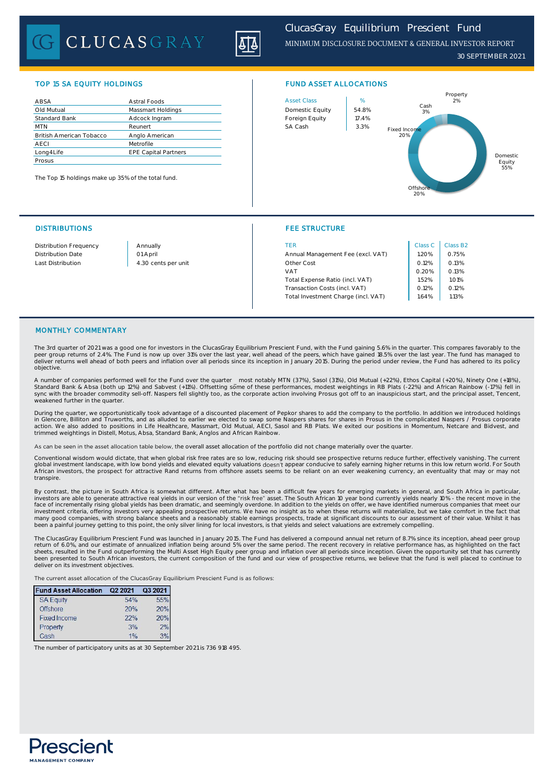# CLUCASGRAY



## TOP 15 SA EQUITY HOLDINGS FUND ASSET ALLOCATIONS

| ABSA                            | Astral Foods                | <b>Asset Class</b> | %     |
|---------------------------------|-----------------------------|--------------------|-------|
| Old Mutual                      | Massmart Holdings           | Domestic Equity    | 54.8% |
| <b>Standard Bank</b>            | Adcock Ingram               | Foreign Equity     | 17.4% |
| <b>MTN</b>                      | Reunert                     | SA Cash            | 3.3%  |
| <b>British American Tobacco</b> | Anglo American              |                    |       |
| <b>AECI</b>                     | Metrofile                   |                    |       |
| Long4Life                       | <b>EPE Capital Partners</b> |                    |       |
| Prosus                          |                             |                    |       |

The Top 15 holdings make up 35% of the total fund.

# DISTRIBUTIONS FEE STRUCTURE



| Distribution Frequency | Annually            | TER                                 | Class <sub>C</sub> | Class B      |
|------------------------|---------------------|-------------------------------------|--------------------|--------------|
| Distribution Date      | 01 April            | Annual Management Fee (excl. VAT)   | 1.20%              | 0.75%        |
| Last Distribution      | 4.30 cents per unit | Other Cost                          | 0.12%              | 0.13%        |
|                        |                     | <b>VAT</b>                          | 0.20%              | 0.13%        |
|                        |                     | Total Expense Ratio (incl. VAT)     | 1.52%              | <b>1.01%</b> |
|                        |                     | Transaction Costs (incl. VAT)       | 0.12%              | 0.12%        |
|                        |                     | Total Investment Charge (incl. VAT) | 1.64%              | 1.13%        |
|                        |                     |                                     |                    |              |

| Class <sub>C</sub> | Class B2 |
|--------------------|----------|
| 1.20%              | 0.75%    |
| 0.12%              | 0.13%    |
| 0.20%              | 0.13%    |
| 1.52%              | 1.01%    |
| 0.12%              | 0.12%    |
| 1.64%              | 1.13%    |
|                    |          |

### MONTHLY COMMENTARY

The 3rd quarter of 2021 was a good one for investors in the ClucasGray Equilibrium Prescient Fund, with the Fund gaining 5.6% in the quarter. This compares favorably to the peer group returns of 2.4%. The Fund is now up over 31% over the last year, well ahead of the peers, which have gained 18.5% over the last year. The fund has managed to<br>deliver returns well ahead of both peers and inflatio objective.

A number of companies performed well for the Fund over the quarter \_ most notably MTN (37%), Sasol (31%), Old Mutual (+22%), Ethos Capital (+20%), Ninety One (+18%),<br>Standard Bank & Absa (both up 12%) and Sabvest (+11%). O sync with the broader commodity sell-off. Naspers fell slightly too, as the corporate action involving Prosus got off to an inauspicious start, and the principal asset, Tencent, weakened further in the quarter

During the quarter, we opportunistically took advantage of a discounted placement of Pepkor shares to add the company to the portfolio. In addition we introduced holdings in Glencore, Billiton and Truworths, and as alluded to earlier we elected to swap some Naspers shares for shares in Prosus in the complicated Naspers / Prosus corporate<br>action. We also added to positions in Life Healthcare trimmed weightings in Distell, Motus, Absa, Standard Bank, Anglos and African Rainbow.

As can be seen in the asset allocation table below, the overall asset allocation of the portfolio did not change materially over the quarter.

Conventional wisdom would dictate, that when global risk free rates are so low, reducing risk should see prospective returns reduce further, effectively vanishing. The current<br>global investment landscape, with low bond yie African investors, the prospect for attractive Rand returns from offshore assets seems to be reliant on an ever weakening currency, an eventuality that may or may not transpire.

By contrast, the picture in South Africa is somewhat different. After what has been a difficult few years for emerging markets in general, and South Africa in particular, investors are able to generate attractive real yields in our version of the "ris**k free**" asset. The South African 10 year bond currently yields nearly 10% - the recent move in the<br>face of incrementally rising global yield been a painful journey getting to this point, the only silver lining for local investors, is that yields and select valuations are extremely compelling.

The ClucasGray Equilibrium Prescient Fund was launched in January 2015. The Fund has delivered a compound annual net return of 8.7% since its inception, ahead peer group return of 6.0%, and our estimate of annualized inflation being around 5% over the same period. The recent recovery in relative performance has, as highlighted on the fact<br>sheets, resulted in the Fund outperforming the Mult been presented to South African investors, the current composition of the fund and our view of prospective returns, we believe that the fund is well placed to continue to deliver on its investment objectives.

The current asset allocation of the ClucasGray Equilibrium Prescient Fund is as follows:

| <b>Fund Asset Allocation</b> | Q2 2021 | Q3 2021 |
|------------------------------|---------|---------|
| <b>SA Equity</b>             | 54%     | 55%     |
| <b>Offshore</b>              | 20%     | 20%     |
| <b>Fixed Income</b>          | 22%     | 20%     |
| Property                     | 3%      | 2%      |
| Cash                         |         |         |

The number of participatory units as at 30 September 2021 is 736 918 495.